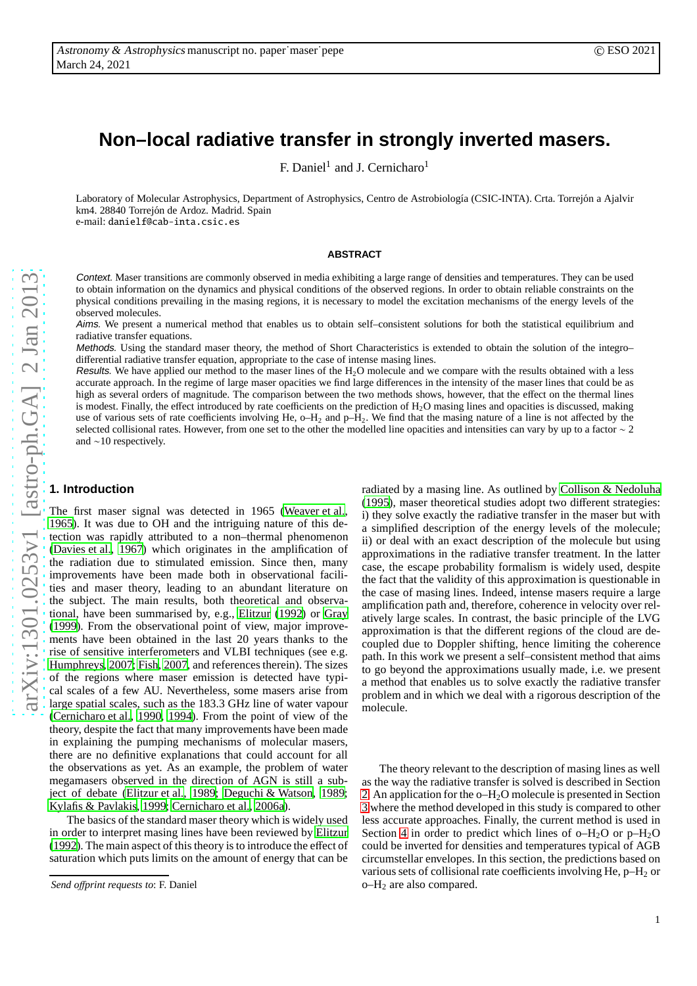# **Non–local radiative transfer in strongly inverted masers.**

F. Daniel<sup>1</sup> and J. Cernicharo<sup>1</sup>

Laboratory of Molecular Astrophysics, Department of Astrophysics, Centro de Astrobiología (CSIC-INTA). Crta. Torrejón a Ajalvir km4. 28840 Torrejón de Ardoz. Madrid. Spain e-mail: danielf@cab-inta.csic.es

**ABSTRACT**

Context. Maser transitions are commonly observed in media exhibiting a large range of densities and temperatures. They can be use d to obtain information on the dynamics and physical conditions of the observed regions. In order to obtain reliable constraints on the physical conditions prevailing in the masing regions, it is necessary to model the excitation mechanisms of the energy levels of the observed molecules.

Aims. We present a numerical method that enables us to obtain self–consistent solutions for both the statistical equilibrium and radiative transfer equations.

Methods. Using the standard maser theory, the method of Short Characteristics is extended to obtain the solution of the integro– di fferential radiative transfer equation, appropriate to the case of intense masing lines.

Results. We have applied our method to the maser lines of the H<sub>2</sub>O molecule and we compare with the results obtained with a less accurate approach. In the regime of large maser opacities we find large di fferences in the intensity of the maser lines that could be as high as several orders of magnitude. The comparison between the two methods shows, however, that the e ffect on the thermal lines is modest. Finally, the effect introduced by rate coefficients on the prediction of  $H_2O$  masing lines and opacities is discussed, making use of various sets of rate coefficients involving He,  $o-H_2$  and  $p-H_2$ . We find that the masing nature of a line is not affected by the selected collisional rates. However, from one set to the other the modelled line opacities and intensities can vary by up to a factor  $\sim 2$ and ∼10 respectively.

## **1. Introduction**

The first maser signal was detected in 1965 [\(Weaver et al.](#page-10-0), [1965](#page-10-0)). It was due to OH and the intriguing nature of this detection was rapidly attributed to a non–thermal phenomenon [\(Davies et al., 1967\)](#page-10-1) which originates in the amplification o f the radiation due to stimulated emission. Since then, many improvements have been made both in observational facilities and maser theory, leading to an abundant literature on the subject. The main results, both theoretical and observa tional, have been summarised by, e.g., [Elitzur \(1992\)](#page-10-2) or [Gra](#page-10-3) y [\(1999\)](#page-10-3). From the observational point of view, major improve ments have been obtained in the last 20 years thanks to the rise of sensitive interferometers and VLBI techniques (see e.g. [Humphreys, 2007](#page-10-4); [Fish](#page-10-5), [2007,](#page-10-5) and references therein). The sizes of the regions where maser emission is detected have typical scales of a few AU. Nevertheless, some masers arise from large spatial scales, such as the 183.3 GHz line of water vapour [\(Cernicharo et al., 1990,](#page-9-0) [1994\)](#page-9-1). From the point of view of the theory, despite the fact that many improvements have been made in explaining the pumping mechanisms of molecular masers, there are no definitive explanations that could account for all the observations as yet. As an example, the problem of water megamasers observed in the direction of AGN is still a subject of debate [\(Elitzur et al., 1989;](#page-10-6) [Deguchi & Watson](#page-10-7), [1989](#page-10-7); [Kylafis & Pavlakis, 1999;](#page-10-8) [Cernicharo et al.](#page-9-2), [2006a\)](#page-9-2).

The basics of the standard maser theory which is widely used in order to interpret masing lines have been reviewed by [Elitzur](#page-10-2) [\(1992\)](#page-10-2). The main aspect of this theory is to introduce the e ffect of saturation which puts limits on the amount of energy that can be radiated by a masing line. As outlined by [Collison & Nedoluha](#page-10-9) [\(1995](#page-10-9)), maser theoretical studies adopt two di fferent strategies: i) they solve exactly the radiative transfer in the maser but with a simplified description of the energy levels of the molecule ; ii) or deal with an exact description of the molecule but usin g approximations in the radiative transfer treatment. In the latter case, the escape probability formalism is widely used, despite the fact that the validity of this approximation is questionable in the case of masing lines. Indeed, intense masers require a large amplification path and, therefore, coherence in velocity over relatively large scales. In contrast, the basic principle of the LVG approximation is that the di fferent regions of the cloud are decoupled due to Doppler shifting, hence limiting the coherence path. In this work we present a self–consistent method that aims to go beyond the approximations usually made, i.e. we presen t a method that enables us to solve exactly the radiative transfer problem and in which we deal with a rigorous description of th e molecule.

The theory relevant to the description of masing lines as wel l as the way the radiative transfer is solved is described in Section [2.](#page-1-0) An application for the o–H <sup>2</sup>O molecule is presented in Section [3](#page-3-0) where the method developed in this study is compared to othe r less accurate approaches. Finally, the current method is used in Section [4](#page-6-0) in order to predict which lines of  $o-H_2O$  or  $p-H_2O$ could be inverted for densities and temperatures typical of AGB circumstellar envelopes. In this section, the predictions based on various sets of collisional rate coe fficients involving He, p–H <sup>2</sup> or o–H <sup>2</sup> are also compared.

*Send o*ff*print requests to*: F. Daniel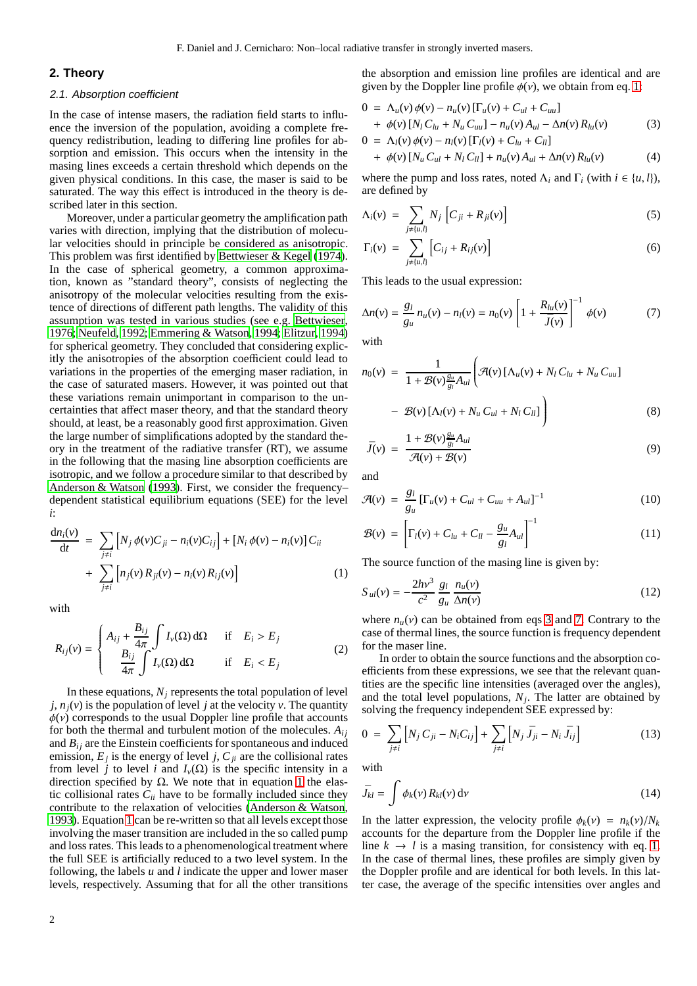# <span id="page-1-0"></span>**2. Theory**

# 2.1. Absorption coefficient

In the case of intense masers, the radiation field starts to influence the inversion of the population, avoiding a complete frequency redistribution, leading to differing line profiles for absorption and emission. This occurs when the intensity in the masing lines exceeds a certain threshold which depends on the given physical conditions. In this case, the maser is said to be saturated. The way this effect is introduced in the theory is described later in this section.

Moreover, under a particular geometry the amplification path varies with direction, implying that the distribution of molecular velocities should in principle be considered as anisotropic. This problem was first identified by [Bettwieser & Kegel \(1974](#page-9-3)). In the case of spherical geometry, a common approximation, known as "standard theory", consists of neglecting the anisotropy of the molecular velocities resulting from the existence of directions of different path lengths. The validity of this assumption was tested in various studies (see e.g. [Bettwieser](#page-9-4), [1976](#page-9-4); [Neufeld, 1992;](#page-10-10) [Emmering & Watson, 1994](#page-10-11); [Elitzur](#page-10-12), [1994\)](#page-10-12) for spherical geometry. They concluded that considering explicitly the anisotropies of the absorption coefficient could lead to variations in the properties of the emerging maser radiation, in the case of saturated masers. However, it was pointed out that these variations remain unimportant in comparison to the uncertainties that affect maser theory, and that the standard theory should, at least, be a reasonably good first approximation. Given the large number of simplifications adopted by the standard theory in the treatment of the radiative transfer (RT), we assume in the following that the masing line absorption coefficients are isotropic, and we follow a procedure similar to that described by [Anderson & Watson \(1993](#page-9-5)). First, we consider the frequency– dependent statistical equilibrium equations (SEE) for the level *i*:

<span id="page-1-1"></span>
$$
\frac{dn_i(v)}{dt} = \sum_{j \neq i} \left[ N_j \phi(v) C_{ji} - n_i(v) C_{ij} \right] + \left[ N_i \phi(v) - n_i(v) \right] C_{ii}
$$

$$
+ \sum_{j \neq i} \left[ n_j(v) R_{ji}(v) - n_i(v) R_{ij}(v) \right]
$$
(1)

with

$$
R_{ij}(v) = \begin{cases} A_{ij} + \frac{B_{ij}}{4\pi} \int I_v(\Omega) d\Omega & \text{if } E_i > E_j \\ \frac{B_{ij}}{4\pi} \int I_v(\Omega) d\Omega & \text{if } E_i < E_j \end{cases}
$$
 (2)

In these equations,  $N_i$  represents the total population of level  $j, n<sub>i</sub>(v)$  is the population of level *j* at the velocity *v*. The quantity  $\phi(v)$  corresponds to the usual Doppler line profile that accounts for both the thermal and turbulent motion of the molecules.  $A_{ij}$ and  $B_{ij}$  are the Einstein coefficients for spontaneous and induced emission,  $E_j$  is the energy of level *j*,  $C_{ji}$  are the collisional rates from level *j* to level *i* and  $I_v(\Omega)$  is the specific intensity in a direction specified by  $\Omega$ . We note that in equation [1](#page-1-1) the elastic collisional rates  $C_{ii}$  have to be formally included since they contribute to the relaxation of velocities [\(Anderson & Watson](#page-9-5), [1993](#page-9-5)). Equation [1](#page-1-1) can be re-written so that all levels except those involving the maser transition are included in the so called pump and loss rates. This leads to a phenomenological treatment where the full SEE is artificially reduced to a two level system. In the following, the labels *u* and *l* indicate the upper and lower maser levels, respectively. Assuming that for all the other transitions

the absorption and emission line profiles are identical and are given by the Doppler line profile  $\phi(\nu)$ , we obtain from eq. [1:](#page-1-1)

<span id="page-1-2"></span>
$$
0 = \Lambda_u(v)\phi(v) - n_u(v)[\Gamma_u(v) + C_{ul} + C_{uu}] + \phi(v)[N_l C_{lu} + N_u C_{uu}] - n_u(v)A_{ul} - \Delta n(v)R_{lu}(v)
$$
(3)  

$$
0 = \Lambda(v)\phi(v) - n_v(v)[\Gamma(v) + C_{ul} + C_{ul}]
$$

$$
0 = \Lambda_{l}(v) \phi(v) - n_{l}(v) [\Gamma_{l}(v) + C_{lu} + C_{ll}] + \phi(v) [\Lambda_{u} C_{ul} + N_{l} C_{ll}] + n_{u}(v) A_{ul} + \Delta n(v) R_{lu}(v)
$$
(4)

where the pump and loss rates, noted  $\Lambda_i$  and  $\Gamma_i$  (with  $i \in \{u, l\}$ ), are defined by

$$
\Lambda_i(\nu) = \sum_{j \neq \{u, l\}} N_j \left[ C_{ji} + R_{ji}(\nu) \right] \tag{5}
$$

$$
\Gamma_i(\nu) = \sum_{j \neq \{u, l\}} \left[ C_{ij} + R_{ij}(\nu) \right] \tag{6}
$$

This leads to the usual expression:

<span id="page-1-3"></span>
$$
\Delta n(v) = \frac{g_l}{g_u} n_u(v) - n_l(v) = n_0(v) \left[ 1 + \frac{R_{lu}(v)}{\bar{J}(v)} \right]^{-1} \phi(v) \tag{7}
$$

with

$$
n_0(v) = \frac{1}{1 + \mathcal{B}(v)\frac{g_u}{g_l}A_{ul}} \left(\mathcal{A}(v) \left[\Lambda_u(v) + N_l C_{lu} + N_u C_{uu}\right] - \mathcal{B}(v) \left[\Lambda_l(v) + N_u C_{ul} + N_l C_{ll}\right]\right)
$$
\n(8)

$$
\bar{J}(v) = \frac{1 + \mathcal{B}(v)\frac{g_u}{g_l}A_{ul}}{\mathcal{A}(v) + \mathcal{B}(v)}
$$
(9)

and

$$
\mathcal{A}(v) = \frac{g_l}{g_u} \left[ \Gamma_u(v) + C_{ul} + C_{uu} + A_{ul} \right]^{-1}
$$
 (10)

$$
\mathcal{B}(v) = \left[ \Gamma_l(v) + C_{lu} + C_{ll} - \frac{g_u}{g_l} A_{ul} \right]^{-1}
$$
 (11)

The source function of the masing line is given by:

<span id="page-1-5"></span>
$$
S_{ul}(v) = -\frac{2hv^3}{c^2} \frac{g_l}{g_u} \frac{n_u(v)}{\Delta n(v)}
$$
(12)

where  $n<sub>u</sub>(v)$  can be obtained from eqs [3](#page-1-2) and [7.](#page-1-3) Contrary to the case of thermal lines, the source function is frequency dependent for the maser line.

In order to obtain the source functions and the absorption coefficients from these expressions, we see that the relevant quantities are the specific line intensities (averaged over the angles), and the total level populations,  $N_j$ . The latter are obtained by solving the frequency independent SEE expressed by:

<span id="page-1-4"></span>
$$
0 = \sum_{j \neq i} \left[ N_j C_{ji} - N_i C_{ij} \right] + \sum_{j \neq i} \left[ N_j \bar{J}_{ji} - N_i \bar{J}_{ij} \right]
$$
(13)

with

$$
\bar{J}_{kl} = \int \phi_k(\nu) R_{kl}(\nu) \, \mathrm{d}\nu \tag{14}
$$

In the latter expression, the velocity profile  $\phi_k(v) = n_k(v)/N_k$ accounts for the departure from the Doppler line profile if the line  $k \to l$  is a masing transition, for consistency with eq. [1.](#page-1-1) In the case of thermal lines, these profiles are simply given by the Doppler profile and are identical for both levels. In this latter case, the average of the specific intensities over angles and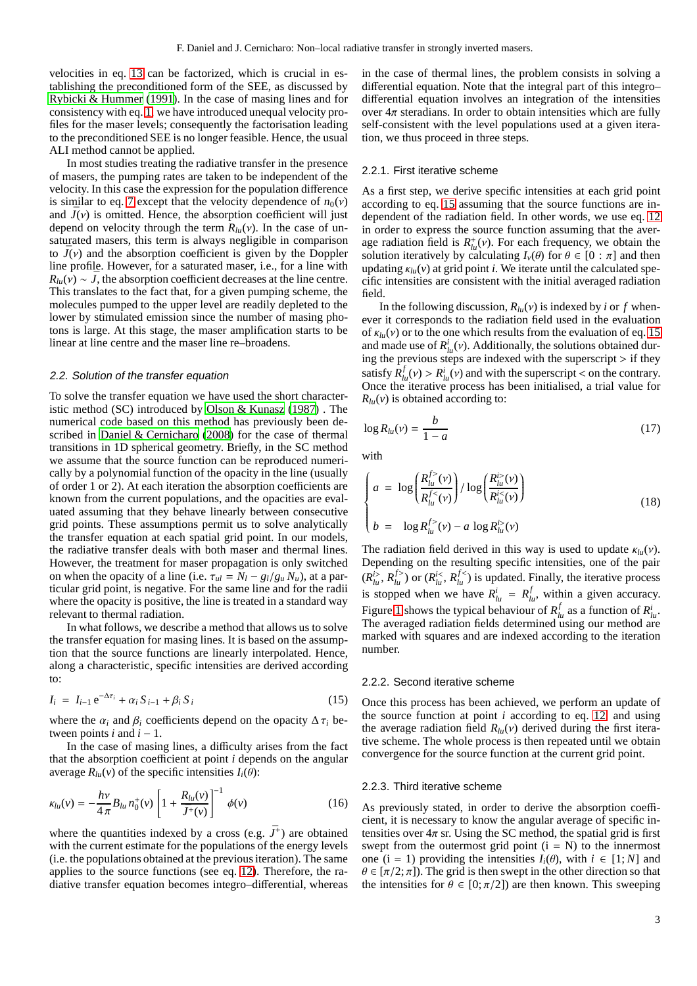velocities in eq. [13](#page-1-4) can be factorized, which is crucial in establishing the preconditioned form of the SEE, as discussed by [Rybicki & Hummer \(1991\)](#page-10-13). In the case of masing lines and for consistency with eq. [1,](#page-1-1) we have introduced unequal velocity profiles for the maser levels; consequently the factorisation leading to the preconditioned SEE is no longer feasible. Hence, the usual ALI method cannot be applied.

In most studies treating the radiative transfer in the presence of masers, the pumping rates are taken to be independent of the velocity. In this case the expression for the population difference is similar to eq. [7](#page-1-3) except that the velocity dependence of  $n_0(v)$ and  $\bar{J}(v)$  is omitted. Hence, the absorption coefficient will just depend on velocity through the term  $R_{lu}(v)$ . In the case of unsaturated masers, this term is always negligible in comparison to  $\bar{J}(v)$  and the absorption coefficient is given by the Doppler line profile. However, for a saturated maser, i.e., for a line with  $R_{\mu\nu}(v) \sim \bar{J}$ , the absorption coefficient decreases at the line centre. This translates to the fact that, for a given pumping scheme, the molecules pumped to the upper level are readily depleted to the lower by stimulated emission since the number of masing photons is large. At this stage, the maser amplification starts to be linear at line centre and the maser line re–broadens.

#### 2.2. Solution of the transfer equation

To solve the transfer equation we have used the short characteristic method (SC) introduced by [Olson & Kunasz \(1987](#page-10-14)) . The numerical code based on this method has previously been described in [Daniel & Cernicharo \(2008](#page-10-15)) for the case of thermal transitions in 1D spherical geometry. Briefly, in the SC method we assume that the source function can be reproduced numerically by a polynomial function of the opacity in the line (usually of order 1 or 2). At each iteration the absorption coefficients are known from the current populations, and the opacities are evaluated assuming that they behave linearly between consecutive grid points. These assumptions permit us to solve analytically the transfer equation at each spatial grid point. In our models, the radiative transfer deals with both maser and thermal lines. However, the treatment for maser propagation is only switched on when the opacity of a line (i.e.  $\tau_{ul} = N_l - g_l/g_u N_u$ ), at a particular grid point, is negative. For the same line and for the radii where the opacity is positive, the line is treated in a standard way relevant to thermal radiation.

In what follows, we describe a method that allows us to solve the transfer equation for masing lines. It is based on the assumption that the source functions are linearly interpolated. Hence, along a characteristic, specific intensities are derived according to:

<span id="page-2-0"></span>
$$
I_i = I_{i-1} e^{-\Delta \tau_i} + \alpha_i S_{i-1} + \beta_i S_i
$$
 (15)

where the  $\alpha_i$  and  $\beta_i$  coefficients depend on the opacity  $\Delta \tau_i$  between points  $i$  and  $i - 1$ .

In the case of masing lines, a difficulty arises from the fact that the absorption coefficient at point *i* depends on the angular average  $R_{lu}(v)$  of the specific intensities  $I_i(\theta)$ :

$$
\kappa_{lu}(\nu) = -\frac{h\nu}{4\pi} B_{lu} n_0^+(\nu) \left[ 1 + \frac{R_{lu}(\nu)}{\bar{J}^+(\nu)} \right]^{-1} \phi(\nu) \tag{16}
$$

where the quantities indexed by a cross (e.g.  $\bar{J}^+$ ) are obtained with the current estimate for the populations of the energy levels (i.e. the populations obtained at the previous iteration). The same applies to the source functions (see eq. [12\)](#page-1-5). Therefore, the radiative transfer equation becomes integro–differential, whereas in the case of thermal lines, the problem consists in solving a differential equation. Note that the integral part of this integro– differential equation involves an integration of the intensities over  $4\pi$  steradians. In order to obtain intensities which are fully self-consistent with the level populations used at a given iteration, we thus proceed in three steps.

#### 2.2.1. First iterative scheme

As a first step, we derive specific intensities at each grid point according to eq. [15](#page-2-0) assuming that the source functions are independent of the radiation field. In other words, we use eq. [12](#page-1-5) in order to express the source function assuming that the average radiation field is  $R_{lu}^+(\nu)$ . For each frequency, we obtain the solution iteratively by calculating  $I_v(\theta)$  for  $\theta \in [0 : \pi]$  and then updating  $\kappa_{lu}(v)$  at grid point *i*. We iterate until the calculated specific intensities are consistent with the initial averaged radiation field.

In the following discussion,  $R_{lu}(v)$  is indexed by *i* or *f* whenever it corresponds to the radiation field used in the evaluation of  $\kappa_{lu}(v)$  or to the one which results from the evaluation of eq. [15](#page-2-0) and made use of  $R^i_{l\mu}(\nu)$ . Additionally, the solutions obtained during the previous steps are indexed with the superscript > if they satisfy  $R_{lu}^f(v) > R_{lu}^i(v)$  and with the superscript < on the contrary. Once the iterative process has been initialised, a trial value for  $R$ *lu*(*v*) is obtained according to:

$$
\log R_{lu}(v) = \frac{b}{1-a} \tag{17}
$$

with

$$
\begin{cases}\n a = \log \left( \frac{R_{lu}^{f>}(\nu)}{R_{lu}^{f<}(\nu)} \right) / \log \left( \frac{R_{lu}^{i>}(\nu)}{R_{lu}^{i<}(\nu)} \right) \\
b = \log R_{lu}^{f>}(\nu) - a \log R_{lu}^{i>}(\nu)\n\end{cases}
$$
\n(18)

The radiation field derived in this way is used to update  $\kappa_{lu}(\nu)$ . Depending on the resulting specific intensities, one of the pair  $(R_{l\mu}^{i>}$ ,  $R_{l\mu}^{f>}$  or  $(R_{l\mu}^{i<}$ ,  $R_{l\mu}^{f<}$  is updated. Finally, the iterative process is stopped when we have  $R_{lu}^i = R_{lu}^f$ , within a given accuracy. Figure [1](#page-3-1) shows the typical behaviour of  $R_{lu}^f$  as a function of  $R_{lu}^i$ . The averaged radiation fields determined using our method are marked with squares and are indexed according to the iteration number.

#### 2.2.2. Second iterative scheme

Once this process has been achieved, we perform an update of the source function at point *i* according to eq. [12,](#page-1-5) and using the average radiation field  $R_{lu}(v)$  derived during the first iterative scheme. The whole process is then repeated until we obtain convergence for the source function at the current grid point.

#### 2.2.3. Third iterative scheme

As previously stated, in order to derive the absorption coefficient, it is necessary to know the angular average of specific intensities over  $4\pi$  sr. Using the SC method, the spatial grid is first swept from the outermost grid point  $(i = N)$  to the innermost one (i = 1) providing the intensities  $I_i(\theta)$ , with  $i \in [1; N]$  and  $\theta \in [\pi/2, \pi]$ . The grid is then swept in the other direction so that the intensities for  $\theta \in [0; \pi/2]$  are then known. This sweeping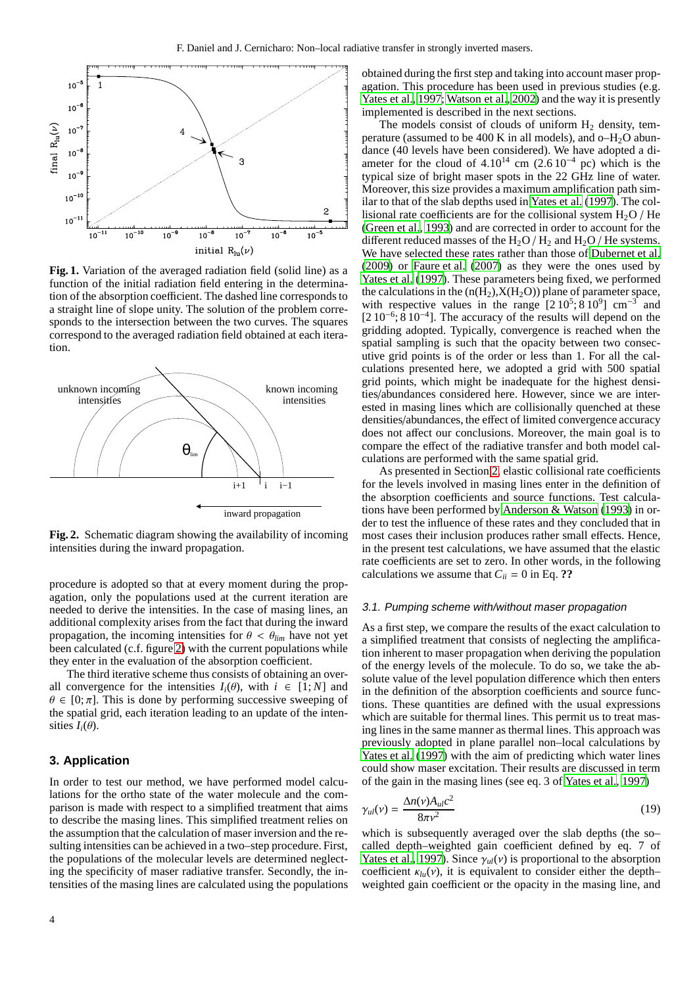

<span id="page-3-1"></span>Fig. 1. Variation of the averaged radiation field (solid line) as a function of the initial radiation field entering in the determination of the absorption coefficient. The dashed line corresponds to a straight line of slope unity. The solution of the problem corresponds to the intersection between the two curves. The squares correspond to the averaged radiation field obtained at each iteration.



<span id="page-3-2"></span>**Fig. 2.** Schematic diagram showing the availability of incoming intensities during the inward propagation.

procedure is adopted so that at every moment during the propagation, only the populations used at the current iteration are needed to derive the intensities. In the case of masing lines, an additional complexity arises from the fact that during the inward propagation, the incoming intensities for  $\theta < \theta_{lim}$  have not yet been calculated (c.f. figure [2\)](#page-3-2) with the current populations while they enter in the evaluation of the absorption coefficient.

The third iterative scheme thus consists of obtaining an overall convergence for the intensities  $I_i(\theta)$ , with  $i \in [1:N]$  and  $\theta \in [0; \pi]$ . This is done by performing successive sweeping of the spatial grid, each iteration leading to an update of the intensities  $I_i(\theta)$ .

# <span id="page-3-0"></span>**3. Application**

In order to test our method, we have performed model calculations for the ortho state of the water molecule and the comparison is made with respect to a simplified treatment that aims to describe the masing lines. This simplified treatment relies on the assumption that the calculation of maser inversion and the resulting intensities can be achieved in a two–step procedure. First, the populations of the molecular levels are determined neglecting the specificity of maser radiative transfer. Secondly, the intensities of the masing lines are calculated using the populations obtained during the first step and taking into account maser propagation. This procedure has been used in previous studies (e.g. [Yates et al.](#page-10-16), [1997;](#page-10-16) [Watson et al., 2002](#page-10-17)) and the way it is presently implemented is described in the next sections.

The models consist of clouds of uniform  $H_2$  density, temperature (assumed to be  $400 \text{ K}$  in all models), and  $o$ -H<sub>2</sub>O abundance (40 levels have been considered). We have adopted a diameter for the cloud of  $4.10^{14}$  cm  $(2.6 10^{-4}$  pc) which is the typical size of bright maser spots in the 22 GHz line of water. Moreover, this size provides a maximum amplification path similar to that of the slab depths used in [Yates et al.](#page-10-16) [\(1997\)](#page-10-16). The collisional rate coefficients are for the collisional system  $H_2O$  / He [\(Green et al.](#page-10-18), [1993\)](#page-10-18) and are corrected in order to account for the different reduced masses of the  $H_2O/H_2$  and  $H_2O/H$  He systems. We have selected these rates rather than those of [Dubernet et](#page-10-19) al. [\(2009](#page-10-19)) or [Faure et al. \(2007](#page-10-20)) as they were the ones used by [Yates et al. \(1997](#page-10-16)). These parameters being fixed, we performed the calculations in the  $(n(H<sub>2</sub>), X(H<sub>2</sub>O))$  plane of parameter space, with respective values in the range  $[210^5; 810^9]$  cm<sup>-3</sup> and [2 10<sup>-6</sup>; 8 10<sup>-4</sup>]. The accuracy of the results will depend on the gridding adopted. Typically, convergence is reached when the spatial sampling is such that the opacity between two consecutive grid points is of the order or less than 1. For all the calculations presented here, we adopted a grid with 500 spatial grid points, which might be inadequate for the highest densities/abundances considered here. However, since we are interested in masing lines which are collisionally quenched at these densities/abundances, the effect of limited convergence accuracy does not affect our conclusions. Moreover, the main goal is to compare the effect of the radiative transfer and both model calculations are performed with the same spatial grid.

As presented in Section [2,](#page-1-0) elastic collisional rate coefficients for the levels involved in masing lines enter in the definition of the absorption coefficients and source functions. Test calculations have been performed by [Anderson & Watson \(1993\)](#page-9-5) in order to test the influence of these rates and they concluded that in most cases their inclusion produces rather small effects. Hence, in the present test calculations, we have assumed that the elastic rate coefficients are set to zero. In other words, in the following calculations we assume that  $C_{ii} = 0$  in Eq. ??

## 3.1. Pumping scheme with/without maser propagation

As a first step, we compare the results of the exact calculation to a simplified treatment that consists of neglecting the amplification inherent to maser propagation when deriving the population of the energy levels of the molecule. To do so, we take the absolute value of the level population difference which then enters in the definition of the absorption coefficients and source functions. These quantities are defined with the usual expressions which are suitable for thermal lines. This permit us to treat masing lines in the same manner as thermal lines. This approach was previously adopted in plane parallel non–local calculations by [Yates et al.](#page-10-16) [\(1997\)](#page-10-16) with the aim of predicting which water lines could show maser excitation. Their results are discussed in term of the gain in the masing lines (see eq. 3 of [Yates et al.](#page-10-16), [1997](#page-10-16))

$$
\gamma_{ul}(\nu) = \frac{\Delta n(\nu) A_{ul} c^2}{8\pi \nu^2} \tag{19}
$$

which is subsequently averaged over the slab depths (the so– called depth–weighted gain coefficient defined by eq. 7 of [Yates et al.](#page-10-16), [1997\)](#page-10-16). Since  $\gamma_{ul}(\nu)$  is proportional to the absorption coefficient  $\kappa_{lu}(v)$ , it is equivalent to consider either the depth– weighted gain coefficient or the opacity in the masing line, and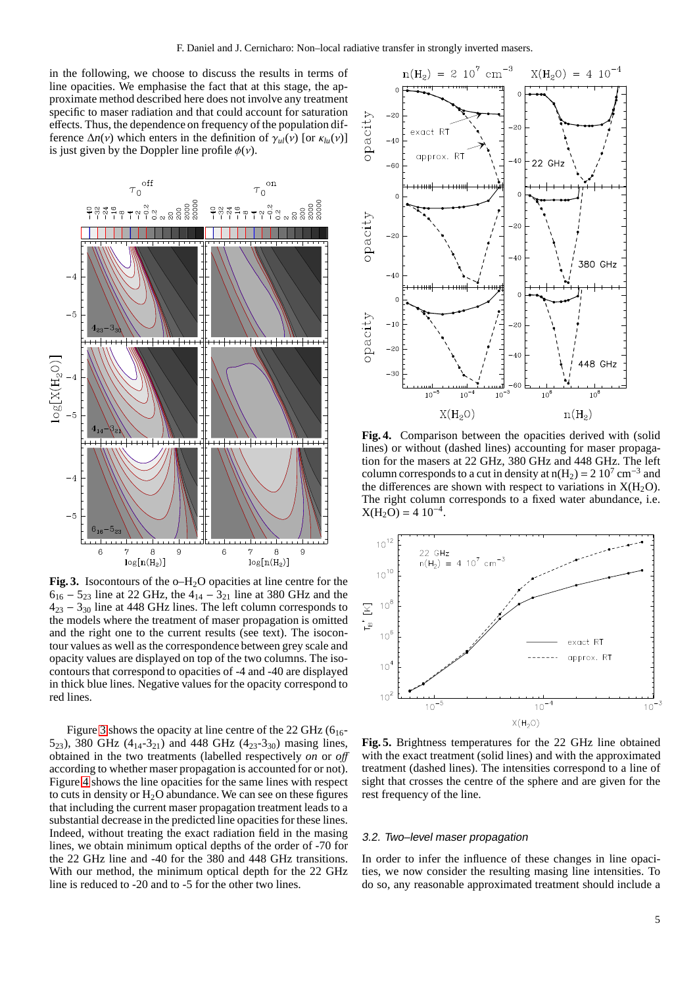in the following, we choose to discuss the results in terms of line opacities. We emphasise the fact that at this stage, the approximate method described here does not involve any treatment specific to maser radiation and that could account for saturation effects. Thus, the dependence on frequency of the population difference  $\Delta n(v)$  which enters in the definition of  $\gamma_{ul}(v)$  [or  $\kappa_{lu}(v)$ ] is just given by the Doppler line profile  $\phi(\nu)$ .



<span id="page-4-0"></span>Fig. 3. Isocontours of the o–H<sub>2</sub>O opacities at line centre for the  $6_{16} - 5_{23}$  line at 22 GHz, the  $4_{14} - 3_{21}$  line at 380 GHz and the  $4_{23} - 3_{30}$  line at 448 GHz lines. The left column corresponds to the models where the treatment of maser propagation is omitted and the right one to the current results (see text). The isocontour values as well as the correspondence between grey scale and opacity values are displayed on top of the two columns. The isocontours that correspond to opacities of -4 and -40 are displayed in thick blue lines. Negative values for the opacity correspond to red lines.

Figure [3](#page-4-0) shows the opacity at line centre of the 22 GHz  $(6_{16} -$ 5<sub>23</sub>), 380 GHz (4<sub>14</sub>-3<sub>21</sub>) and 448 GHz (4<sub>23</sub>-3<sub>30</sub>) masing lines, obtained in the two treatments (labelled respectively *on* or *o*ff according to whether maser propagation is accounted for or not). Figure [4](#page-4-1) shows the line opacities for the same lines with respect to cuts in density or  $H_2O$  abundance. We can see on these figures that including the current maser propagation treatment leads to a substantial decrease in the predicted line opacities for these lines. Indeed, without treating the exact radiation field in the masing lines, we obtain minimum optical depths of the order of -70 for the 22 GHz line and -40 for the 380 and 448 GHz transitions. With our method, the minimum optical depth for the 22 GHz line is reduced to -20 and to -5 for the other two lines.



<span id="page-4-1"></span>**Fig. 4.** Comparison between the opacities derived with (solid lines) or without (dashed lines) accounting for maser propagation for the masers at 22 GHz, 380 GHz and 448 GHz. The left column corresponds to a cut in density at  $n(H_2) = 2 \cdot 10^7 \text{ cm}^{-3}$  and the differences are shown with respect to variations in  $X(H_2O)$ . The right column corresponds to a fixed water abundance, i.e.  $X(H_2O) = 4 10^{-4}$ .



<span id="page-4-2"></span>**Fig. 5.** Brightness temperatures for the 22 GHz line obtained with the exact treatment (solid lines) and with the approximated treatment (dashed lines). The intensities correspond to a line of sight that crosses the centre of the sphere and are given for the rest frequency of the line.

## 3.2. Two–level maser propagation

In order to infer the influence of these changes in line opacities, we now consider the resulting masing line intensities. To do so, any reasonable approximated treatment should include a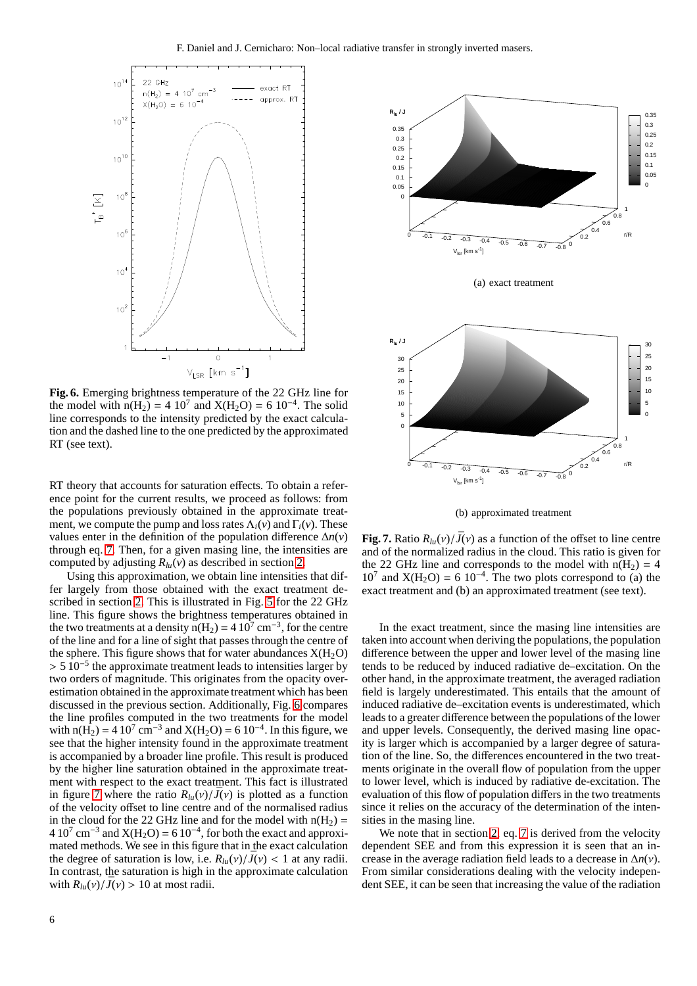

<span id="page-5-0"></span>**Fig. 6.** Emerging brightness temperature of the 22 GHz line for the model with  $n(H_2) = 4 \ 10^7$  and  $X(H_2O) = 6 \ 10^{-4}$ . The solid line corresponds to the intensity predicted by the exact calculation and the dashed line to the one predicted by the approximated RT (see text).

RT theory that accounts for saturation effects. To obtain a reference point for the current results, we proceed as follows: from the populations previously obtained in the approximate treatment, we compute the pump and loss rates  $\Lambda_i(v)$  and  $\Gamma_i(v)$ . These values enter in the definition of the population difference ∆*n*(*v*) through eq. [7.](#page-1-3) Then, for a given masing line, the intensities are computed by adjusting *Rlu*(*v*) as described in section [2.](#page-1-0)

Using this approximation, we obtain line intensities that differ largely from those obtained with the exact treatment described in section [2.](#page-1-0) This is illustrated in Fig. [5](#page-4-2) for the 22 GHz line. This figure shows the brightness temperatures obtained in the two treatments at a density  $n(H_2) = 4 \cdot 10^7 \text{ cm}^{-3}$ , for the centre of the line and for a line of sight that passes through the centre of the sphere. This figure shows that for water abundances  $X(H_2O)$  $> 5 \, 10^{-5}$  the approximate treatment leads to intensities larger by two orders of magnitude. This originates from the opacity overestimation obtained in the approximate treatment which has been discussed in the previous section. Additionally, Fig. [6](#page-5-0) compares the line profiles computed in the two treatments for the model with  $n(H_2) = 4 \cdot 10^7 \text{ cm}^{-3}$  and  $X(H_2O) = 6 \cdot 10^{-4}$ . In this figure, we see that the higher intensity found in the approximate treatment is accompanied by a broader line profile. This result is produced by the higher line saturation obtained in the approximate treatment with respect to the exact treatment. This fact is illustrated in figure [7](#page-5-1) where the ratio  $R_{lu}(v)/\bar{J}(v)$  is plotted as a function of the velocity offset to line centre and of the normalised radius in the cloud for the 22 GHz line and for the model with  $n(H_2)$  =  $410^7$  cm<sup>-3</sup> and  $X(H_2O) = 610^{-4}$ , for both the exact and approximated methods. We see in this figure that in the exact calculation the degree of saturation is low, i.e.  $R_{\mu\nu}(v)/\bar{J}(v) < 1$  at any radii. In contrast, the saturation is high in the approximate calculation with  $R_{lu}(v)/\bar{J}(v) > 10$  at most radii.





<span id="page-5-1"></span>**Fig. 7.** Ratio  $R_{lu}(v)/\bar{J}(v)$  as a function of the offset to line centre and of the normalized radius in the cloud. This ratio is given for the 22 GHz line and corresponds to the model with  $n(H_2) = 4$  $10^7$  and  $X(H_2O) = 6 \cdot 10^{-4}$ . The two plots correspond to (a) the exact treatment and (b) an approximated treatment (see text).

In the exact treatment, since the masing line intensities are taken into account when deriving the populations, the population difference between the upper and lower level of the masing line tends to be reduced by induced radiative de–excitation. On the other hand, in the approximate treatment, the averaged radiation field is largely underestimated. This entails that the amount of induced radiative de–excitation events is underestimated, which leads to a greater difference between the populations of the lower and upper levels. Consequently, the derived masing line opacity is larger which is accompanied by a larger degree of saturation of the line. So, the differences encountered in the two treatments originate in the overall flow of population from the upper to lower level, which is induced by radiative de-excitation. The evaluation of this flow of population differs in the two treatments since it relies on the accuracy of the determination of the intensities in the masing line.

We note that in section [2,](#page-1-0) eq. [7](#page-1-3) is derived from the velocity dependent SEE and from this expression it is seen that an increase in the average radiation field leads to a decrease in ∆*n*(ν). From similar considerations dealing with the velocity independent SEE, it can be seen that increasing the value of the radiation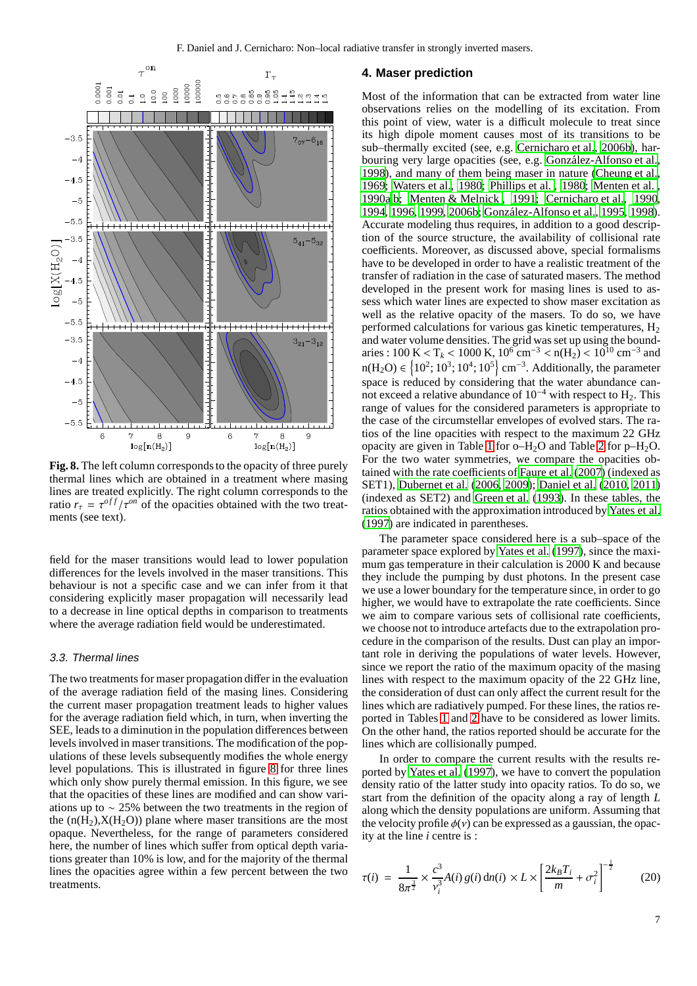

<span id="page-6-1"></span>**Fig. 8.** The left column corresponds to the opacity of three purely thermal lines which are obtained in a treatment where masing lines are treated explicitly. The right column corresponds to the ratio  $r_{\tau} = \tau^{off} / \tau^{on}$  of the opacities obtained with the two treatments (see text).

field for the maser transitions would lead to lower population differences for the levels involved in the maser transitions. This behaviour is not a specific case and we can infer from it that considering explicitly maser propagation will necessarily lead to a decrease in line optical depths in comparison to treatments where the average radiation field would be underestimated.

## 3.3. Thermal lines

The two treatments for maser propagation differ in the evaluation of the average radiation field of the masing lines. Considering the current maser propagation treatment leads to higher values for the average radiation field which, in turn, when inverting the SEE, leads to a diminution in the population differences between levels involved in maser transitions. The modification of the populations of these levels subsequently modifies the whole energy level populations. This is illustrated in figure [8](#page-6-1) for three lines which only show purely thermal emission. In this figure, we see that the opacities of these lines are modified and can show variations up to ∼ 25% between the two treatments in the region of the  $(n(H_2), X(H_2O))$  plane where maser transitions are the most opaque. Nevertheless, for the range of parameters considered here, the number of lines which suffer from optical depth variations greater than 10% is low, and for the majority of the thermal lines the opacities agree within a few percent between the two treatments.

# <span id="page-6-0"></span>**4. Maser prediction**

Most of the information that can be extracted from water line observations relies on the modelling of its excitation. From this point of view, water is a difficult molecule to treat since its high dipole moment causes most of its transitions to be sub–thermally excited (see, e.g. [Cernicharo et al., 2006b\)](#page-10-21), harbouring very large opacities (see, e.g. González-Alfonso et al., [1998\)](#page-10-22), and many of them being maser in nature [\(Cheung et al.](#page-10-23), [1969;](#page-10-23) [Waters et al., 1980;](#page-10-24) [Phillips et al.](#page-10-25) , [1980;](#page-10-25) [Menten et al.](#page-10-26) , [1990a](#page-10-26)[,b;](#page-10-27) [Menten & Melnick , 1991;](#page-10-28) [Cernicharo et al., 1990](#page-9-0), [1994,](#page-9-1) [1996,](#page-9-6) [1999,](#page-9-7) [2006b](#page-10-21); González-Alfonso et al., [1995](#page-10-29), [1998\)](#page-10-22). Accurate modeling thus requires, in addition to a good description of the source structure, the availability of collisional rate coefficients. Moreover, as discussed above, special formalisms have to be developed in order to have a realistic treatment of the transfer of radiation in the case of saturated masers. The method developed in the present work for masing lines is used to assess which water lines are expected to show maser excitation as well as the relative opacity of the masers. To do so, we have performed calculations for various gas kinetic temperatures,  $H_2$ and water volume densities. The grid was set up using the boundaries : 100 K < T<sub>k</sub> < 1000 K,  $10^6$  cm<sup>-3</sup> < n(H<sub>2</sub>) <  $10^{10}$  cm<sup>-3</sup> and n(H<sub>2</sub>O) ∈ {10<sup>2</sup>; 10<sup>3</sup>; 10<sup>4</sup>; 10<sup>5</sup>} cm<sup>-3</sup>. Additionally, the parameter space is reduced by considering that the water abundance cannot exceed a relative abundance of  $10^{-4}$  with respect to H<sub>2</sub>. This range of values for the considered parameters is appropriate to the case of the circumstellar envelopes of evolved stars. The ratios of the line opacities with respect to the maximum 22 GHz opacity are given in Table [1](#page-7-0) for  $o-H<sub>2</sub>O$  and Table [2](#page-7-1) for  $p-H<sub>2</sub>O$ . For the two water symmetries, we compare the opacities obtained with the rate coefficients of [Faure et al.](#page-10-20) [\(2007\)](#page-10-20) (indexed as SET1), [Dubernet et al.](#page-10-30) [\(2006,](#page-10-30) [2009](#page-10-19)); [Daniel et al. \(2010,](#page-10-31) [2011\)](#page-10-32) (indexed as SET2) and [Green et al. \(1993](#page-10-18)). In these tables, the ratios obtained with the approximation introduced by [Yates](#page-10-16) et al. [\(1997](#page-10-16)) are indicated in parentheses.

The parameter space considered here is a sub–space of the parameter space explored by [Yates et al.](#page-10-16) [\(1997\)](#page-10-16), since the maximum gas temperature in their calculation is 2000 K and because they include the pumping by dust photons. In the present case we use a lower boundary for the temperature since, in order to go higher, we would have to extrapolate the rate coefficients. Since we aim to compare various sets of collisional rate coefficients, we choose not to introduce artefacts due to the extrapolation procedure in the comparison of the results. Dust can play an important role in deriving the populations of water levels. However, since we report the ratio of the maximum opacity of the masing lines with respect to the maximum opacity of the 22 GHz line, the consideration of dust can only affect the current result for the lines which are radiatively pumped. For these lines, the ratios reported in Tables [1](#page-7-0) and [2](#page-7-1) have to be considered as lower limits. On the other hand, the ratios reported should be accurate for the lines which are collisionally pumped.

In order to compare the current results with the results reported by [Yates et al. \(1997\)](#page-10-16), we have to convert the population density ratio of the latter study into opacity ratios. To do so, we start from the definition of the opacity along a ray of length *L* along which the density populations are uniform. Assuming that the velocity profile  $\phi(y)$  can be expressed as a gaussian, the opacity at the line *i* centre is :

<span id="page-6-2"></span>
$$
\tau(i) = \frac{1}{8\pi^{\frac{3}{2}}} \times \frac{c^3}{v_i^3} A(i) g(i) \, \text{d}n(i) \times L \times \left[ \frac{2k_B T_i}{m} + \sigma_i^2 \right]^{-\frac{1}{2}} \tag{20}
$$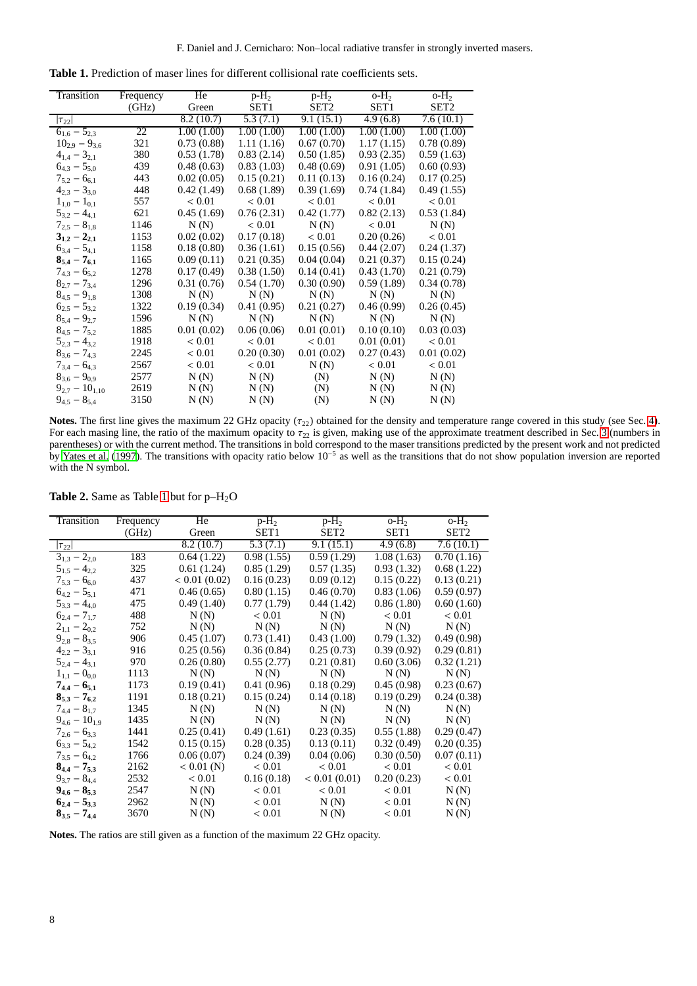| <b>Table 1.</b> Prediction of maser lines for different collisional rate coefficients sets. |  |
|---------------------------------------------------------------------------------------------|--|
|---------------------------------------------------------------------------------------------|--|

<span id="page-7-0"></span>

| Transition                   | Frequency | He         | $p-H_2$          | $p-H_2$    | $O-H2$           | $O-H2$           |
|------------------------------|-----------|------------|------------------|------------|------------------|------------------|
|                              | (GHz)     | Green      | SET <sub>1</sub> | SET2       | SET <sub>1</sub> | SET <sub>2</sub> |
| $ \tau_{22} $                |           | 8.2(10.7)  | 5.3(7.1)         | 9.1(15.1)  | 4.9(6.8)         | 7.6(10.1)        |
| $6_{1.6} - 5_{2.3}$          | 22        | 1.00(1.00) | 1.00(1.00)       | 1.00(1.00) | 1.00(1.00)       | 1.00(1.00)       |
| $10_{2.9} - 9_{3.6}$         | 321       | 0.73(0.88) | 1.11(1.16)       | 0.67(0.70) | 1.17(1.15)       | 0.78(0.89)       |
| $4_{1,4} - 3_{2,1}$          | 380       | 0.53(1.78) | 0.83(2.14)       | 0.50(1.85) | 0.93(2.35)       | 0.59(1.63)       |
| $6_{4,3} - 5_{5,0}$          | 439       | 0.48(0.63) | 0.83(1.03)       | 0.48(0.69) | 0.91(1.05)       | 0.60(0.93)       |
| $7_{5,2} - 6_{6,1}$          | 443       | 0.02(0.05) | 0.15(0.21)       | 0.11(0.13) | 0.16(0.24)       | 0.17(0.25)       |
| $4_{2,3} - 3_{3,0}$          | 448       | 0.42(1.49) | 0.68(1.89)       | 0.39(1.69) | 0.74(1.84)       | 0.49(1.55)       |
| $1_{1,0} - 1_{0,1}$          | 557       | < 0.01     | < 0.01           | < 0.01     | < 0.01           | < 0.01           |
| $5_{3,2} - 4_{4,1}$          | 621       | 0.45(1.69) | 0.76(2.31)       | 0.42(1.77) | 0.82(2.13)       | 0.53(1.84)       |
| $7_{2,5} - 8_{1,8}$          | 1146      | N(N)       | < 0.01           | N(N)       | ${}< 0.01$       | N(N)             |
| $3_{1,2} - 2_{2,1}$          | 1153      | 0.02(0.02) | 0.17(0.18)       | < 0.01     | 0.20(0.26)       | < 0.01           |
| $6_{3,4} - 5_{4,1}$          | 1158      | 0.18(0.80) | 0.36(1.61)       | 0.15(0.56) | 0.44(2.07)       | 0.24(1.37)       |
| $8_{5,4}-7_{6,1}$            | 1165      | 0.09(0.11) | 0.21(0.35)       | 0.04(0.04) | 0.21(0.37)       | 0.15(0.24)       |
| $7_{4,3} - 6_{5,2}$          | 1278      | 0.17(0.49) | 0.38(1.50)       | 0.14(0.41) | 0.43(1.70)       | 0.21(0.79)       |
| $8_{2,7} - 7_{3,4}$          | 1296      | 0.31(0.76) | 0.54(1.70)       | 0.30(0.90) | 0.59(1.89)       | 0.34(0.78)       |
| $8_{4.5} - 9_{1.8}$          | 1308      | N(N)       | N(N)             | N(N)       | N(N)             | N(N)             |
| $6_{2,5} - 5_{3,2}$          | 1322      | 0.19(0.34) | 0.41(0.95)       | 0.21(0.27) | 0.46(0.99)       | 0.26(0.45)       |
| $8_{5,4} - 9_{2,7}$          | 1596      | N(N)       | N(N)             | N(N)       | N(N)             | N(N)             |
| $8_{4,5}$ – 7 <sub>5.2</sub> | 1885      | 0.01(0.02) | 0.06(0.06)       | 0.01(0.01) | 0.10(0.10)       | 0.03(0.03)       |
| $5_{2,3} - 4_{3,2}$          | 1918      | < 0.01     | < 0.01           | < 0.01     | 0.01(0.01)       | < 0.01           |
| $8_{3,6}-7_{4,3}$            | 2245      | < 0.01     | 0.20(0.30)       | 0.01(0.02) | 0.27(0.43)       | 0.01(0.02)       |
| $7_{3,4} - 6_{4,3}$          | 2567      | < 0.01     | < 0.01           | N(N)       | ${}< 0.01$       | < 0.01           |
| $8_{3,6} - 9_{0,9}$          | 2577      | N(N)       | N(N)             | (N)        | N(N)             | N(N)             |
| $9_{2,7} - 10_{1,10}$        | 2619      | N(N)       | N(N)             | (N)        | N(N)             | N(N)             |
| $9_{4,5}-8_{5,4}$            | 3150      | N(N)       | N(N)             | (N)        | N(N)             | N(N)             |

**Notes.** The first line gives the maximum 22 GHz opacity  $(\tau_{22})$  obtained for the density and temperature range covered in this study (see Sec. [4\)](#page-6-0). For each masing line, the ratio of the maximum opacity to  $\tau_{22}$  is given, making use of the approximate treatment described in Sec. [3](#page-3-0) (numbers in parentheses) or with the current method. The transitions in bold correspond to the maser transitions predicted by the present work and not predicted by [Yates et al. \(1997](#page-10-16)). The transitions with opacity ratio below  $10^{-5}$  as well as the transitions that do not show population inversion are reported with the N symbol.

| Transition           | Frequency | He           | $p-H_2$    | $p-H_2$      | $\overline{\text{o-H}_2}$ | $O-H2$     |
|----------------------|-----------|--------------|------------|--------------|---------------------------|------------|
|                      | (GHz)     | Green        | SET1       | SET2         | SET1                      | SET2       |
| $ \tau_{22} $        |           | 8.2(10.7)    | 5.3(7.1)   | 9.1(15.1)    | 4.9(6.8)                  | 7.6(10.1)  |
| $3_{1,3} - 2_{2,0}$  | 183       | 0.64(1.22)   | 0.98(1.55) | 0.59(1.29)   | 1.08(1.63)                | 0.70(1.16) |
| $5_{1,5} - 4_{2,2}$  | 325       | 0.61(1.24)   | 0.85(1.29) | 0.57(1.35)   | 0.93(1.32)                | 0.68(1.22) |
| $7_{5,3} - 6_{6,0}$  | 437       | < 0.01(0.02) | 0.16(0.23) | 0.09(0.12)   | 0.15(0.22)                | 0.13(0.21) |
| $6_{4,2} - 5_{5,1}$  | 471       | 0.46(0.65)   | 0.80(1.15) | 0.46(0.70)   | 0.83(1.06)                | 0.59(0.97) |
| $5_{3,3} - 4_{4,0}$  | 475       | 0.49(1.40)   | 0.77(1.79) | 0.44(1.42)   | 0.86(1.80)                | 0.60(1.60) |
| $6_{2,4} - 7_{1,7}$  | 488       | N(N)         | < 0.01     | N(N)         | < 0.01                    | < 0.01     |
| $2_{1,1} - 2_{0,2}$  | 752       | N(N)         | N(N)       | N(N)         | N(N)                      | N(N)       |
| $9_{2,8}-8_{3,5}$    | 906       | 0.45(1.07)   | 0.73(1.41) | 0.43(1.00)   | 0.79(1.32)                | 0.49(0.98) |
| $4_{2,2} - 3_{3,1}$  | 916       | 0.25(0.56)   | 0.36(0.84) | 0.25(0.73)   | 0.39(0.92)                | 0.29(0.81) |
| $5_{2,4} - 4_{3,1}$  | 970       | 0.26(0.80)   | 0.55(2.77) | 0.21(0.81)   | 0.60(3.06)                | 0.32(1.21) |
| $1_{1,1} - 0_{0,0}$  | 1113      | N(N)         | N(N)       | N(N)         | N(N)                      | N(N)       |
| $7_{4,4} - 6_{5,1}$  | 1173      | 0.19(0.41)   | 0.41(0.96) | 0.18(0.29)   | 0.45(0.98)                | 0.23(0.67) |
| $8_{5,3} - 7_{6,2}$  | 1191      | 0.18(0.21)   | 0.15(0.24) | 0.14(0.18)   | 0.19(0.29)                | 0.24(0.38) |
| $7_{4,4} - 8_{1,7}$  | 1345      | N(N)         | N(N)       | N(N)         | N(N)                      | N(N)       |
| $9_{4,6} - 10_{1,9}$ | 1435      | N(N)         | N(N)       | N(N)         | N(N)                      | N(N)       |
| $7_{2,6} - 6_{3,3}$  | 1441      | 0.25(0.41)   | 0.49(1.61) | 0.23(0.35)   | 0.55(1.88)                | 0.29(0.47) |
| $6_{3,3} - 5_{4,2}$  | 1542      | 0.15(0.15)   | 0.28(0.35) | 0.13(0.11)   | 0.32(0.49)                | 0.20(0.35) |
| $7_{3,5} - 6_{4,2}$  | 1766      | 0.06(0.07)   | 0.24(0.39) | 0.04(0.06)   | 0.30(0.50)                | 0.07(0.11) |
| $8_{4,4} - 7_{5,3}$  | 2162      | $< 0.01$ (N) | < 0.01     | < 0.01       | < 0.01                    | < 0.01     |
| $9_{3,7} - 8_{4,4}$  | 2532      | < 0.01       | 0.16(0.18) | < 0.01(0.01) | 0.20(0.23)                | < 0.01     |
| $9_{4.6} - 8_{5.3}$  | 2547      | N(N)         | < 0.01     | < 0.01       | < 0.01                    | N(N)       |
| $6_{2,4} - 5_{3,3}$  | 2962      | N(N)         | ${}< 0.01$ | N(N)         | ${}_{< 0.01}$             | N(N)       |
| $8_{3,5} - 7_{4,4}$  | 3670      | N(N)         | < 0.01     | N(N)         | < 0.01                    | N(N)       |

<span id="page-7-1"></span>Table 2. Same as Table [1](#page-7-0) but for p-H<sub>2</sub>O

**Notes.** The ratios are still given as a function of the maximum 22 GHz opacity.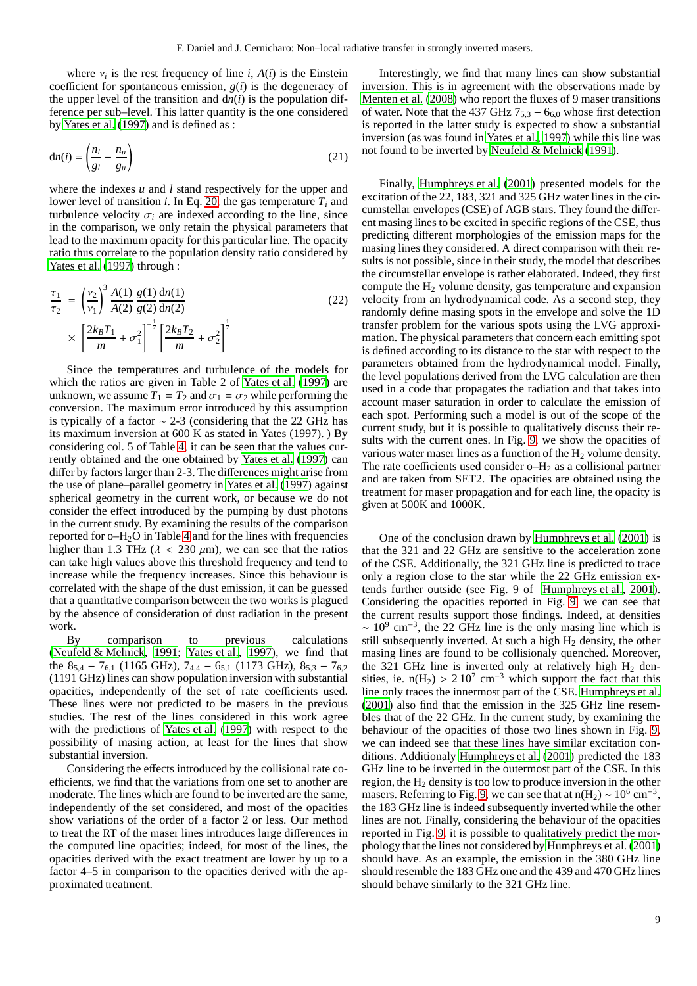$\mathcal{E}$ 

where  $v_i$  is the rest frequency of line *i*,  $A(i)$  is the Einstein coefficient for spontaneous emission,  $g(i)$  is the degeneracy of the upper level of the transition and  $dn(i)$  is the population difference per sub–level. This latter quantity is the one considered by [Yates et al. \(1997\)](#page-10-16) and is defined as :

$$
dn(i) = \left(\frac{n_l}{g_l} - \frac{n_u}{g_u}\right) \tag{21}
$$

where the indexes *u* and *l* stand respectively for the upper and lower level of transition *i*. In Eq. [20,](#page-6-2) the gas temperature  $T_i$  and turbulence velocity  $\sigma_i$  are indexed according to the line, since in the comparison, we only retain the physical parameters that lead to the maximum opacity for this particular line. The opacity ratio thus correlate to the population density ratio considered by [Yates et al.](#page-10-16) [\(1997\)](#page-10-16) through :

<span id="page-8-0"></span>
$$
\frac{\tau_1}{\tau_2} = \left(\frac{v_2}{v_1}\right)^3 \frac{A(1)}{A(2)} \frac{g(1)}{g(2)} \frac{dn(1)}{dn(2)} \times \left[\frac{2k_B T_1}{m} + \sigma_1^2\right]^{-\frac{1}{2}} \left[\frac{2k_B T_2}{m} + \sigma_2^2\right]^{\frac{1}{2}}
$$
\n(22)

Since the temperatures and turbulence of the models for which the ratios are given in Table 2 of [Yates et al. \(1997](#page-10-16)) are unknown, we assume  $T_1 = T_2$  and  $\sigma_1 = \sigma_2$  while performing the conversion. The maximum error introduced by this assumption is typically of a factor ∼ 2-3 (considering that the 22 GHz has its maximum inversion at 600 K as stated in Yates (1997). ) By considering col. 5 of Table [4,](#page-9-8) it can be seen that the values currently obtained and the one obtained by [Yates et al.](#page-10-16) [\(1997\)](#page-10-16) can differ by factors larger than 2-3. The differences might arise from the use of plane–parallel geometry in [Yates et al. \(1997\)](#page-10-16) against spherical geometry in the current work, or because we do not consider the effect introduced by the pumping by dust photons in the current study. By examining the results of the comparison reported for  $o$ -H<sub>2</sub>O in Table [4](#page-9-8) and for the lines with frequencies higher than 1.3 THz ( $\lambda$  < 230  $\mu$ m), we can see that the ratios can take high values above this threshold frequency and tend to increase while the frequency increases. Since this behaviour is correlated with the shape of the dust emission, it can be guessed that a quantitative comparison between the two works is plagued by the absence of consideration of dust radiation in the present work.

By comparison to previous calculations [\(Neufeld & Melnick, 1991;](#page-10-33) [Yates et al., 1997\)](#page-10-16), we find that the  $8_{5,4} - 7_{6,1}$  (1165 GHz),  $7_{4,4} - 6_{5,1}$  (1173 GHz),  $8_{5,3} - 7_{6,2}$ (1191 GHz) lines can show population inversion with substantial opacities, independently of the set of rate coefficients used. These lines were not predicted to be masers in the previous studies. The rest of the lines considered in this work agree with the predictions of [Yates et al.](#page-10-16) [\(1997\)](#page-10-16) with respect to the possibility of masing action, at least for the lines that show substantial inversion.

Considering the effects introduced by the collisional rate coefficients, we find that the variations from one set to another are moderate. The lines which are found to be inverted are the same, independently of the set considered, and most of the opacities show variations of the order of a factor 2 or less. Our method to treat the RT of the maser lines introduces large differences in the computed line opacities; indeed, for most of the lines, the opacities derived with the exact treatment are lower by up to a factor 4–5 in comparison to the opacities derived with the approximated treatment.

Interestingly, we find that many lines can show substantial inversion. This is in agreement with the observations made by [Menten et al.](#page-10-34) [\(2008\)](#page-10-34) who report the fluxes of 9 maser transitions of water. Note that the 437 GHz  $7_{5,3} - 6_{6,0}$  whose first detection is reported in the latter study is expected to show a substantial inversion (as was found in [Yates et al.](#page-10-16), [1997\)](#page-10-16) while this line was not found to be inverted by [Neufeld & Melnick \(1991\)](#page-10-33).

Finally, [Humphreys et al.](#page-10-35) [\(2001\)](#page-10-35) presented models for the excitation of the 22, 183, 321 and 325 GHz water lines in the circumstellar envelopes (CSE) of AGB stars. They found the different masing lines to be excited in specific regions of the CSE, thus predicting different morphologies of the emission maps for the masing lines they considered. A direct comparison with their results is not possible, since in their study, the model that describes the circumstellar envelope is rather elaborated. Indeed, they first compute the H<sup>2</sup> volume density, gas temperature and expansion velocity from an hydrodynamical code. As a second step, they randomly define masing spots in the envelope and solve the 1D transfer problem for the various spots using the LVG approximation. The physical parameters that concern each emitting spot is defined according to its distance to the star with respect to the parameters obtained from the hydrodynamical model. Finally, the level populations derived from the LVG calculation are then used in a code that propagates the radiation and that takes into account maser saturation in order to calculate the emission of each spot. Performing such a model is out of the scope of the current study, but it is possible to qualitatively discuss their results with the current ones. In Fig. [9,](#page-11-0) we show the opacities of various water maser lines as a function of the  $H_2$  volume density. The rate coefficients used consider  $o-H_2$  as a collisional partner and are taken from SET2. The opacities are obtained using the treatment for maser propagation and for each line, the opacity is given at 500K and 1000K.

One of the conclusion drawn by [Humphreys et al. \(2001\)](#page-10-35) is that the 321 and 22 GHz are sensitive to the acceleration zone of the CSE. Additionally, the 321 GHz line is predicted to trace only a region close to the star while the 22 GHz emission extends further outside (see Fig. 9 of [Humphreys et al.](#page-10-35), [2001\)](#page-10-35). Considering the opacities reported in Fig. [9,](#page-11-0) we can see that the current results support those findings. Indeed, at densities  $\sim 10^9$  cm<sup>-3</sup>, the 22 GHz line is the only masing line which is still subsequently inverted. At such a high  $H<sub>2</sub>$  density, the other masing lines are found to be collisionaly quenched. Moreover, the 321 GHz line is inverted only at relatively high  $H_2$  densities, ie.  $n(H_2) > 210^7$  cm<sup>-3</sup> which support the fact that this line only traces the innermost part of the CSE. [Humphreys et al.](#page-10-35) [\(2001](#page-10-35)) also find that the emission in the 325 GHz line resembles that of the 22 GHz. In the current study, by examining the behaviour of the opacities of those two lines shown in Fig. [9,](#page-11-0) we can indeed see that these lines have similar excitation conditions. Additionaly [Humphreys et al. \(2001\)](#page-10-35) predicted the 183 GHz line to be inverted in the outermost part of the CSE. In this region, the  $H_2$  density is too low to produce inversion in the other masers. Referring to Fig. [9,](#page-11-0) we can see that at  $n(H_2) \sim 10^6$  cm<sup>-3</sup>, the 183 GHz line is indeed subsequently inverted while the other lines are not. Finally, considering the behaviour of the opacities reported in Fig. [9,](#page-11-0) it is possible to qualitatively predict the morphology that the lines not considered by [Humphreys et al. \(2001\)](#page-10-35) should have. As an example, the emission in the 380 GHz line should resemble the 183 GHz one and the 439 and 470 GHz lines should behave similarly to the 321 GHz line.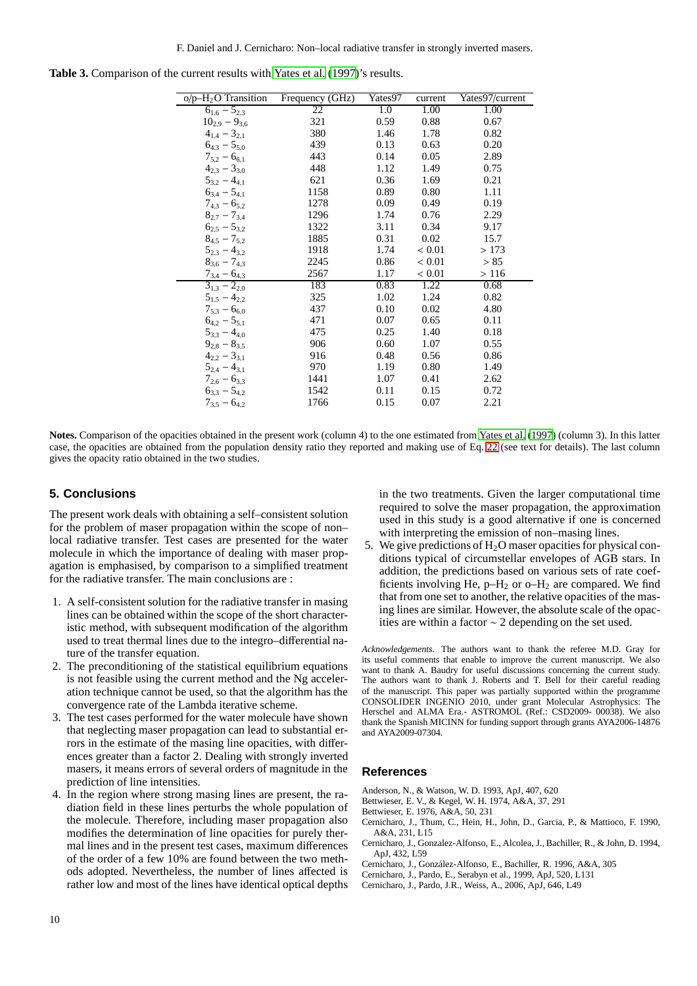| $o/p-\overline{H_2O}$ Transition          | Frequency (GHz) | Yates97 | current    | Yates97/current |
|-------------------------------------------|-----------------|---------|------------|-----------------|
| $6_{1,6} - 5_{2,3}$                       | 22              | 1.0     | 1.00       | 1.00            |
| $10_{2,9} - 9_{3,6}$                      | 321             | 0.59    | 0.88       | 0.67            |
| $4_{1,4} - 3_{2,1}$                       | 380             | 1.46    | 1.78       | 0.82            |
| $6_{4,3} - 5_{5,0}$                       | 439             | 0.13    | 0.63       | 0.20            |
| $7_{5,2} - 6_{6,1}$                       | 443             | 0.14    | 0.05       | 2.89            |
| $4_{2,3}$ – $3_{3,0}$                     | 448             | 1.12    | 1.49       | 0.75            |
| $5_{3,2} - 4_{4,1}$                       | 621             | 0.36    | 1.69       | 0.21            |
| $6_{3,4} - 5_{4,1}$                       | 1158            | 0.89    | 0.80       | 1.11            |
| $7_{4,3} - 6_{5,2}$                       | 1278            | 0.09    | 0.49       | 0.19            |
| $8_{2,7} - 7_{3,4}$                       | 1296            | 1.74    | 0.76       | 2.29            |
| $6_{2.5} - 5_{3.2}$                       | 1322            | 3.11    | 0.34       | 9.17            |
| $8_{4.5} - 7_{5.2}$                       | 1885            | 0.31    | 0.02       | 15.7            |
| $5_{2,3} - 4_{3,2}$                       | 1918            | 1.74    | < 0.01     | >173            |
| $8_{3.6} - 7_{4.3}$                       | 2245            | 0.86    | ${}< 0.01$ | > 85            |
| $\frac{7_{3,4}-6_{4,3}}{3_{1,3}-2_{2,0}}$ | 2567            | 1.17    | < 0.01     | >116            |
|                                           | 183             | 0.83    | 1.22       | 0.68            |
| $5_{1.5} - 4_{2.2}$                       | 325             | 1.02    | 1.24       | 0.82            |
| $7_{5,3} - 6_{6,0}$                       | 437             | 0.10    | 0.02       | 4.80            |
| $6_{4.2} - 5_{5.1}$                       | 471             | 0.07    | 0.65       | 0.11            |
| $5_{3,3} - 4_{4,0}$                       | 475             | 0.25    | 1.40       | 0.18            |
| $9_{2,8}-8_{3,5}$                         | 906             | 0.60    | 1.07       | 0.55            |
| $4_{2,2} - 3_{3,1}$                       | 916             | 0.48    | 0.56       | 0.86            |
| $5_{2,4} - 4_{3,1}$                       | 970             | 1.19    | 0.80       | 1.49            |
| $7_{2.6} - 6_{3.3}$                       | 1441            | 1.07    | 0.41       | 2.62            |
| $6_{3,3} - 5_{4,2}$                       | 1542            | 0.11    | 0.15       | 0.72            |
| $7_{3,5} - 6_{4,2}$                       | 1766            | 0.15    | 0.07       | 2.21            |

<span id="page-9-8"></span>Table 3. Comparison of the current results with [Yates et al. \(1997\)](#page-10-16)'s results.

**Notes.** Comparison of the opacities obtained in the present work (column 4) to the one estimated from [Yates et al.](#page-10-16) [\(1997](#page-10-16)) (column 3). In this latter case, the opacities are obtained from the population density ratio they reported and making use of Eq. [22](#page-8-0) (see text for details). The last column gives the opacity ratio obtained in the two studies.

# **5. Conclusions**

The present work deals with obtaining a self–consistent solution for the problem of maser propagation within the scope of non– local radiative transfer. Test cases are presented for the water molecule in which the importance of dealing with maser propagation is emphasised, by comparison to a simplified treatment for the radiative transfer. The main conclusions are :

- 1. A self-consistent solution for the radiative transfer in masing lines can be obtained within the scope of the short characteristic method, with subsequent modification of the algorithm used to treat thermal lines due to the integro–differential nature of the transfer equation.
- 2. The preconditioning of the statistical equilibrium equations is not feasible using the current method and the Ng acceleration technique cannot be used, so that the algorithm has the convergence rate of the Lambda iterative scheme.
- 3. The test cases performed for the water molecule have shown that neglecting maser propagation can lead to substantial errors in the estimate of the masing line opacities, with differences greater than a factor 2. Dealing with strongly inverted masers, it means errors of several orders of magnitude in the prediction of line intensities.
- 4. In the region where strong masing lines are present, the radiation field in these lines perturbs the whole population of the molecule. Therefore, including maser propagation also modifies the determination of line opacities for purely thermal lines and in the present test cases, maximum differences of the order of a few 10% are found between the two methods adopted. Nevertheless, the number of lines affected is rather low and most of the lines have identical optical depths

in the two treatments. Given the larger computational time required to solve the maser propagation, the approximation used in this study is a good alternative if one is concerned with interpreting the emission of non–masing lines.

5. We give predictions of  $H_2O$  maser opacities for physical conditions typical of circumstellar envelopes of AGB stars. In addition, the predictions based on various sets of rate coefficients involving He,  $p-H_2$  or  $o-H_2$  are compared. We find that from one set to another, the relative opacities of the masing lines are similar. However, the absolute scale of the opacities are within a factor ∼ 2 depending on the set used.

*Acknowledgements.* The authors want to thank the referee M.D. Gray for its useful comments that enable to improve the current manuscript. We also want to thank A. Baudry for useful discussions concerning the current study. The authors want to thank J. Roberts and T. Bell for their careful reading of the manuscript. This paper was partially supported within the programme CONSOLIDER INGENIO 2010, under grant Molecular Astrophysics: The Herschel and ALMA Era.- ASTROMOL (Ref.: CSD2009- 00038). We also thank the Spanish MICINN for funding support through grants AYA2006-14876 and AYA2009-07304.

## **References**

- <span id="page-9-5"></span>Anderson, N., & Watson, W. D. 1993, ApJ, 407, 620
- <span id="page-9-3"></span>Bettwieser, E. V., & Kegel, W. H. 1974, A&A, 37, 291
- <span id="page-9-4"></span>Bettwieser, E. 1976, A&A, 50, 231
- <span id="page-9-0"></span>Cernicharo, J., Thum, C., Hein, H., John, D., Garcia, P., & Mattioco, F. 1990, A&A, 231, L15
- <span id="page-9-1"></span>Cernicharo, J., Gonzalez-Alfonso, E., Alcolea, J., Bachiller, R., & John, D. 1994, ApJ, 432, L59
- <span id="page-9-6"></span>Cernicharo, J., González-Alfonso, E., Bachiller, R. 1996, A&A, 305
- <span id="page-9-7"></span>Cernicharo, J., Pardo, E., Serabyn et al., 1999, ApJ, 520, L131
- <span id="page-9-2"></span>Cernicharo, J., Pardo, J.R., Weiss, A., 2006, ApJ, 646, L49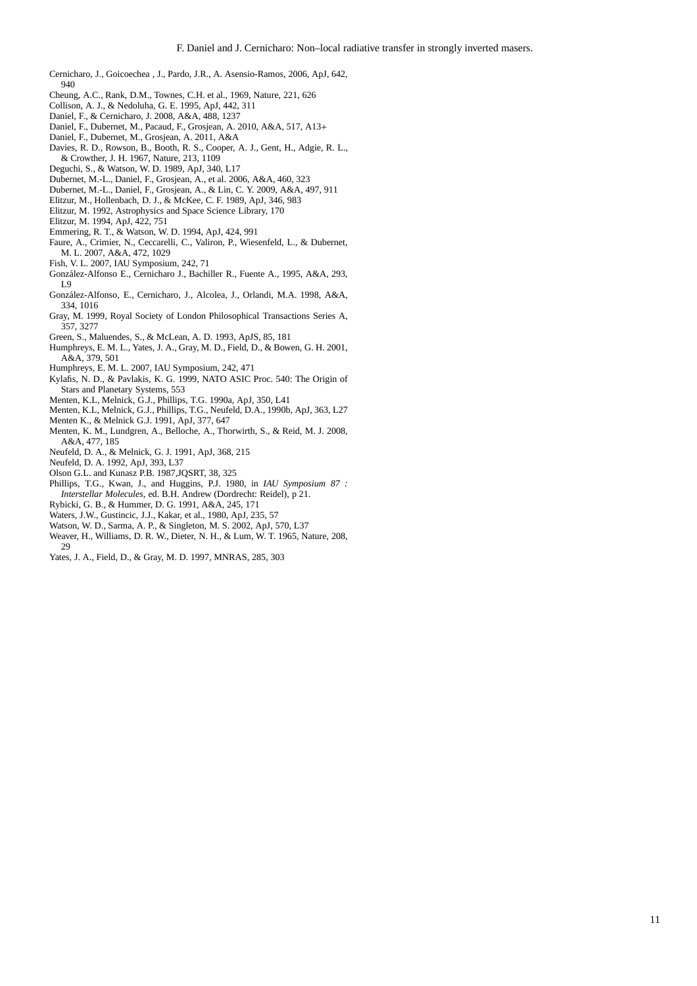- <span id="page-10-21"></span>Cernicharo, J., Goicoechea , J., Pardo, J.R., A. Asensio-Ramos, 2006, ApJ, 642, 940
- <span id="page-10-23"></span>Cheung, A.C., Rank, D.M., Townes, C.H. et al., 1969, Nature, 221, 626
- <span id="page-10-9"></span>Collison, A. J., & Nedoluha, G. E. 1995, ApJ, 442, 311
- <span id="page-10-15"></span>Daniel, F., & Cernicharo, J. 2008, A&A, 488, 1237
- <span id="page-10-31"></span>Daniel, F., Dubernet, M., Pacaud, F., Grosjean, A. 2010, A&A, 517, A13+
- <span id="page-10-32"></span>Daniel, F., Dubernet, M., Grosjean, A. 2011, A&A
- <span id="page-10-1"></span>Davies, R. D., Rowson, B., Booth, R. S., Cooper, A. J., Gent, H., Adgie, R. L., & Crowther, J. H. 1967, Nature, 213, 1109
- <span id="page-10-7"></span>Deguchi, S., & Watson, W. D. 1989, ApJ, 340, L17
- <span id="page-10-30"></span>Dubernet, M.-L., Daniel, F., Grosjean, A., et al. 2006, A&A, 460, 323
- <span id="page-10-19"></span>Dubernet, M.-L., Daniel, F., Grosjean, A., & Lin, C. Y. 2009, A&A, 497, 911
- <span id="page-10-6"></span>Elitzur, M., Hollenbach, D. J., & McKee, C. F. 1989, ApJ, 346, 983
- <span id="page-10-2"></span>Elitzur, M. 1992, Astrophysics and Space Science Library, 170
- <span id="page-10-12"></span>Elitzur, M. 1994, ApJ, 422, 751
- <span id="page-10-20"></span><span id="page-10-11"></span>Emmering, R. T., & Watson, W. D. 1994, ApJ, 424, 991 Faure, A., Crimier, N., Ceccarelli, C., Valiron, P., Wiesenfeld, L., & Dubernet,
- M. L. 2007, A&A, 472, 1029 Fish, V. L. 2007, IAU Symposium, 242, 71
- <span id="page-10-5"></span>
- <span id="page-10-29"></span>González-Alfonso E., Cernicharo J., Bachiller R., Fuente A., 1995, A&A, 293, T<sub>Q</sub>
- <span id="page-10-22"></span>Gonz´alez-Alfonso, E., Cernicharo, J., Alcolea, J., Orlandi, M.A. 1998, A&A, 334, 1016
- <span id="page-10-3"></span>Gray, M. 1999, Royal Society of London Philosophical Transactions Series A, 357, 3277
- <span id="page-10-18"></span>Green, S., Maluendes, S., & McLean, A. D. 1993, ApJS, 85, 181
- <span id="page-10-35"></span>Humphreys, E. M. L., Yates, J. A., Gray, M. D., Field, D., & Bowen, G. H. 2001, A&A, 379, 501
- <span id="page-10-4"></span>Humphreys, E. M. L. 2007, IAU Symposium, 242, 471
- <span id="page-10-8"></span>Kylafis, N. D., & Pavlakis, K. G. 1999, NATO ASIC Proc. 540: The Origin of Stars and Planetary Systems, 553
- <span id="page-10-26"></span>Menten, K.L, Melnick, G.J., Phillips, T.G. 1990a, ApJ, 350, L41
- <span id="page-10-27"></span>Menten, K.L, Melnick, G.J., Phillips, T.G., Neufeld, D.A., 1990b, ApJ, 363, L27 Menten K., & Melnick G.J. 1991, ApJ, 377, 647
- <span id="page-10-28"></span>
- <span id="page-10-34"></span>Menten, K. M., Lundgren, A., Belloche, A., Thorwirth, S., & Reid, M. J. 2008, A&A, 477, 185
- <span id="page-10-33"></span>Neufeld, D. A., & Melnick, G. J. 1991, ApJ, 368, 215
- <span id="page-10-10"></span>Neufeld, D. A. 1992, ApJ, 393, L37
- <span id="page-10-14"></span>Olson G.L. and Kunasz P.B. 1987,JQSRT, 38, 325
- <span id="page-10-25"></span>Phillips, T.G., Kwan, J., and Huggins, P.J. 1980, in *IAU Symposium 87 : Interstellar Molecules*, ed. B.H. Andrew (Dordrecht: Reidel), p 21.
- <span id="page-10-13"></span>Rybicki, G. B., & Hummer, D. G. 1991, A&A, 245, 171
- <span id="page-10-24"></span>Waters, J.W., Gustincic, J.J., Kakar, et al., 1980, ApJ, 235, 57
- <span id="page-10-17"></span>Watson, W. D., Sarma, A. P., & Singleton, M. S. 2002, ApJ, 570, L37
- <span id="page-10-0"></span>Weaver, H., Williams, D. R. W., Dieter, N. H., & Lum, W. T. 1965, Nature, 208,  $29$
- <span id="page-10-16"></span>Yates, J. A., Field, D., & Gray, M. D. 1997, MNRAS, 285, 303